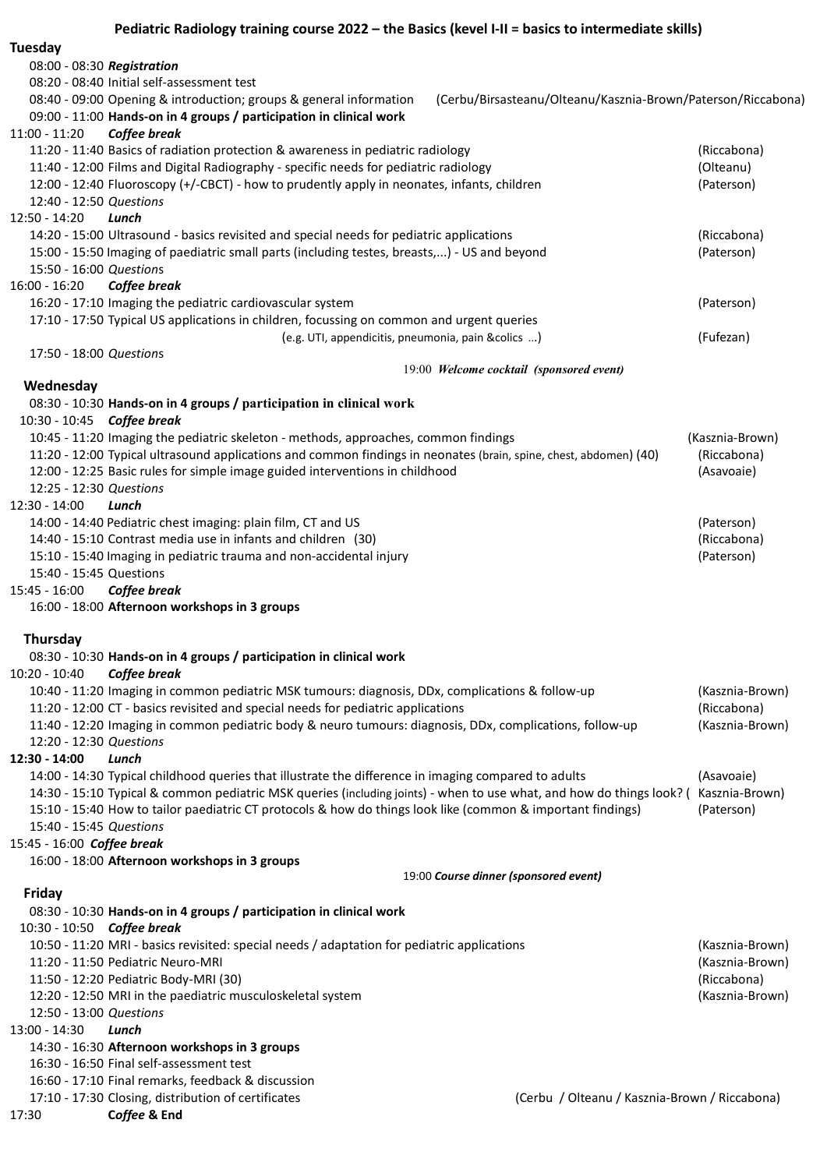Tuesday 08:00 - 08:30 Registration 08:20 - 08:40 Initial self-assessment test 08:40 - 09:00 Opening & introduction; groups & general information (Cerbu/Birsasteanu/Olteanu/Kasznia-Brown/Paterson/Riccabona) 09:00 - 11:00 Hands-on in 4 groups / participation in clinical work 11:00 - 11:20 Coffee break 11:20 - 11:40 Basics of radiation protection & awareness in pediatric radiology (Riccabona) 11:40 - 12:00 Films and Digital Radiography - specific needs for pediatric radiology (Olteanu) 12:00 - 12:40 Fluoroscopy (+/-CBCT) - how to prudently apply in neonates, infants, children (Paterson) 12:40 - 12:50 Questions 12:50 - 14:20 Lunch 14:20 - 15:00 Ultrasound - basics revisited and special needs for pediatric applications (Riccabona) 15:00 - 15:50 Imaging of paediatric small parts (including testes, breasts,...) - US and beyond (Paterson) 15:50 - 16:00 Questions 16:00 - 16:20 Coffee break 16:20 - 17:10 Imaging the pediatric cardiovascular system (Paterson) 17:10 - 17:50 Typical US applications in children, focussing on common and urgent queries (e.g. UTI, appendicitis, pneumonia, pain &colics ...) (Fufezan) 17:50 - 18:00 Questions 19:00 Welcome cocktail (sponsored event) **Wednesday** 08:30 - 10:30 Hands-on in 4 groups / participation in clinical work 10:30 - 10:45 Coffee break 10:45 - 11:20 Imaging the pediatric skeleton - methods, approaches, common findings (Kasznia-Brown) 11:20 - 12:00 Typical ultrasound applications and common findings in neonates (brain, spine, chest, abdomen) (40) (Riccabona) 12:00 - 12:25 Basic rules for simple image guided interventions in childhood (Asavoaie) 12:25 - 12:30 Questions 12:30 - 14:00 Lunch 14:00 - 14:40 Pediatric chest imaging: plain film, CT and US (Paterson) 14:40 - 15:10 Contrast media use in infants and children (30) (Riccabona) 15:10 - 15:40 Imaging in pediatric trauma and non-accidental injury (Paterson) 15:40 - 15:45 Questions 15:45 - 16:00 Coffee break 16:00 - 18:00 Afternoon workshops in 3 groups Thursday 08:30 - 10:30 Hands-on in 4 groups / participation in clinical work 10:20 - 10:40 Coffee break 10:40 - 11:20 Imaging in common pediatric MSK tumours: diagnosis, DDx, complications & follow-up (Kasznia-Brown) 11:20 - 12:00 CT - basics revisited and special needs for pediatric applications (Riccabona) 11:40 - 12:20 Imaging in common pediatric body & neuro tumours: diagnosis, DDx, complications, follow-up (Kasznia-Brown) 12:20 - 12:30 Questions 12:30 - 14:00 Lunch 14:00 - 14:30 Typical childhood queries that illustrate the difference in imaging compared to adults (Asavoaie) 14:30 - 15:10 Typical & common pediatric MSK queries (including joints) - when to use what, and how do things look? ( Kasznia-Brown) 15:10 - 15:40 How to tailor paediatric CT protocols & how do things look like (common & important findings) (Paterson) 15:40 - 15:45 Questions 15:45 - 16:00 Coffee break 16:00 - 18:00 Afternoon workshops in 3 groups 19:00 Course dinner (sponsored event) Friday 08:30 - 10:30 Hands-on in 4 groups / participation in clinical work 10:30 - 10:50 Coffee break 10:50 - 11:20 MRI - basics revisited: special needs / adaptation for pediatric applications (Kasznia-Brown) 11:20 - 11:50 Pediatric Neuro-MRI (Kasznia-Brown) 11:50 - 12:20 Pediatric Body-MRI (30) (Riccabona) 12:20 - 12:50 MRI in the paediatric musculoskeletal system (Kasznia-Brown) 12:50 - 13:00 Questions 13:00 - 14:30 Lunch 14:30 - 16:30 Afternoon workshops in 3 groups 16:30 - 16:50 Final self-assessment test 16:60 - 17:10 Final remarks, feedback & discussion 17:10 - 17:30 Closing, distribution of certificates (Cerbu / Olteanu / Kasznia-Brown / Riccabona) 17:30 Coffee & End

Pediatric Radiology training course 2022 – the Basics (kevel I-II = basics to intermediate skills)